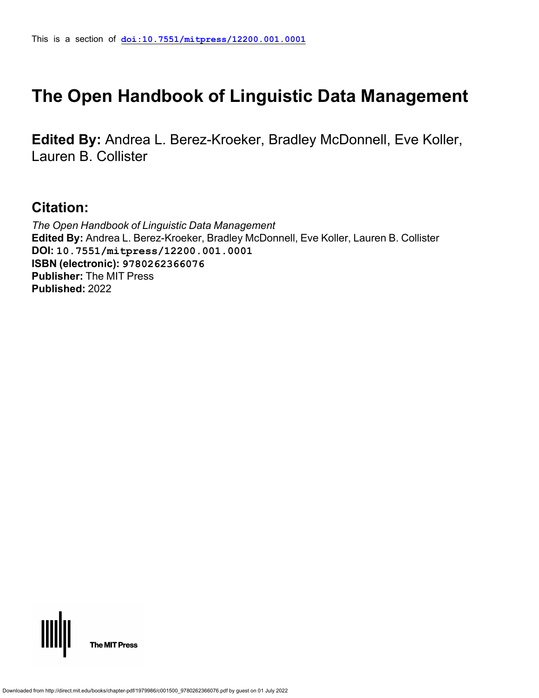# **The Open Handbook of Linguistic Data Management**

**Edited By:** Andrea L. Berez-Kroeker, Bradley McDonnell, Eve Koller, Lauren B. Collister

# **Citation:**

*The Open Handbook of Linguistic Data Management* **Edited By:** Andrea L. Berez-Kroeker, Bradley McDonnell, Eve Koller, Lauren B. Collister **DOI: 10.7551/mitpress/12200.001.0001 ISBN (electronic): 9780262366076 Publisher:** The MIT Press **Published:** 2022



**The MIT Press**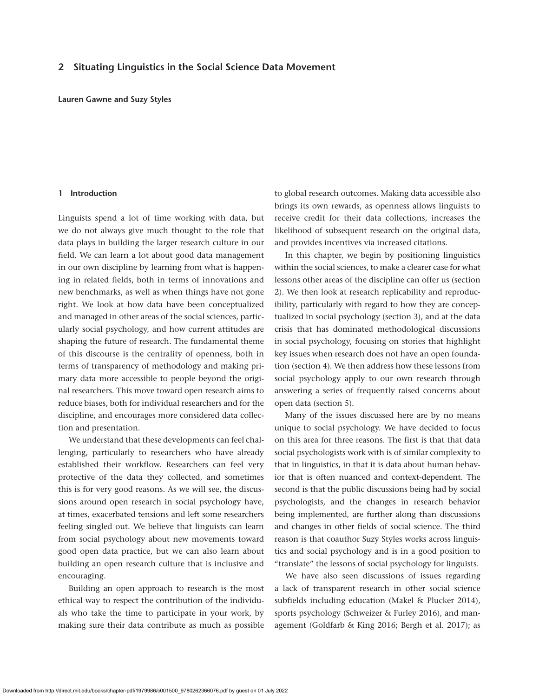## **2 Situating Linguistics in the Social Science Data Movement**

**Lauren Gawne and Suzy Styles**

## **1 Introduction**

Linguists spend a lot of time working with data, but we do not always give much thought to the role that data plays in building the larger research culture in our field. We can learn a lot about good data management in our own discipline by learning from what is happening in related fields, both in terms of innovations and new benchmarks, as well as when things have not gone right. We look at how data have been conceptualized and managed in other areas of the social sciences, particularly social psychology, and how current attitudes are shaping the future of research. The fundamental theme of this discourse is the centrality of openness, both in terms of transparency of methodology and making primary data more accessible to people beyond the original researchers. This move toward open research aims to reduce biases, both for individual researchers and for the discipline, and encourages more considered data collection and presentation.

We understand that these developments can feel challenging, particularly to researchers who have already established their workflow. Researchers can feel very protective of the data they collected, and sometimes this is for very good reasons. As we will see, the discussions around open research in social psychology have, at times, exacerbated tensions and left some researchers feeling singled out. We believe that linguists can learn from social psychology about new movements toward good open data practice, but we can also learn about building an open research culture that is inclusive and encouraging.

Building an open approach to research is the most ethical way to respect the contribution of the individuals who take the time to participate in your work, by making sure their data contribute as much as possible to global research outcomes. Making data accessible also brings its own rewards, as openness allows linguists to receive credit for their data collections, increases the likelihood of subsequent research on the original data, and provides incentives via increased citations.

In this chapter, we begin by positioning linguistics within the social sciences, to make a clearer case for what lessons other areas of the discipline can offer us (section 2). We then look at research replicability and reproducibility, particularly with regard to how they are conceptualized in social psychology (section 3), and at the data crisis that has dominated methodological discussions in social psychology, focusing on stories that highlight key issues when research does not have an open foundation (section 4). We then address how these lessons from social psychology apply to our own research through answering a series of frequently raised concerns about open data (section 5).

Many of the issues discussed here are by no means unique to social psychology. We have decided to focus on this area for three reasons. The first is that that data social psychologists work with is of similar complexity to that in linguistics, in that it is data about human behavior that is often nuanced and context-dependent. The second is that the public discussions being had by social psychologists, and the changes in research behavior being implemented, are further along than discussions and changes in other fields of social science. The third reason is that coauthor Suzy Styles works across linguistics and social psychology and is in a good position to "translate" the lessons of social psychology for linguists.

We have also seen discussions of issues regarding a lack of transparent research in other social science subfields including education (Makel & Plucker 2014), sports psychology (Schweizer & Furley 2016), and management (Goldfarb & King 2016; Bergh et al. 2017); as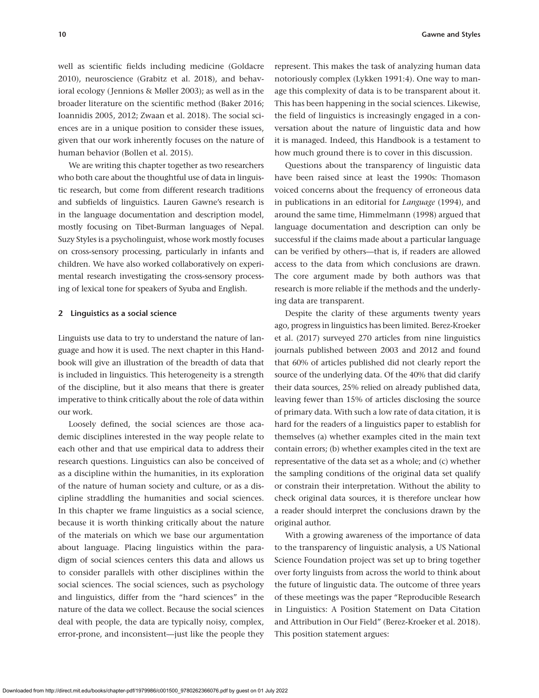well as scientific fields including medicine (Goldacre 2010), neuroscience (Grabitz et al. 2018), and behavioral ecology ( Jennions & Møller 2003); as well as in the broader literature on the scientific method (Baker 2016; Ioannidis 2005, 2012; Zwaan et al. 2018). The social sciences are in a unique position to consider these issues, given that our work inherently focuses on the nature of human behavior (Bollen et al. 2015).

We are writing this chapter together as two researchers who both care about the thoughtful use of data in linguistic research, but come from different research traditions and subfields of linguistics. Lauren Gawne's research is in the language documentation and description model, mostly focusing on Tibet-Burman languages of Nepal. Suzy Styles is a psycholinguist, whose work mostly focuses on cross-sensory processing, particularly in infants and children. We have also worked collaboratively on experimental research investigating the cross-sensory processing of lexical tone for speakers of Syuba and English.

#### **2 Linguistics as a social science**

Linguists use data to try to understand the nature of language and how it is used. The next chapter in this Handbook will give an illustration of the breadth of data that is included in linguistics. This heterogeneity is a strength of the discipline, but it also means that there is greater imperative to think critically about the role of data within our work.

Loosely defined, the social sciences are those academic disciplines interested in the way people relate to each other and that use empirical data to address their research questions. Linguistics can also be conceived of as a discipline within the humanities, in its exploration of the nature of human society and culture, or as a discipline straddling the humanities and social sciences. In this chapter we frame linguistics as a social science, because it is worth thinking critically about the nature of the materials on which we base our argumentation about language. Placing linguistics within the paradigm of social sciences centers this data and allows us to consider parallels with other disciplines within the social sciences. The social sciences, such as psychology and linguistics, differ from the "hard sciences" in the nature of the data we collect. Because the social sciences deal with people, the data are typically noisy, complex, error-prone, and inconsistent—just like the people they

represent. This makes the task of analyzing human data notoriously complex (Lykken 1991:4). One way to manage this complexity of data is to be transparent about it. This has been happening in the social sciences. Likewise, the field of linguistics is increasingly engaged in a conversation about the nature of linguistic data and how it is managed. Indeed, this Handbook is a testament to how much ground there is to cover in this discussion.

Questions about the transparency of linguistic data have been raised since at least the 1990s: Thomason voiced concerns about the frequency of erroneous data in publications in an editorial for *Language* (1994), and around the same time, Himmelmann (1998) argued that language documentation and description can only be successful if the claims made about a particular language can be verified by others—that is, if readers are allowed access to the data from which conclusions are drawn. The core argument made by both authors was that research is more reliable if the methods and the underlying data are transparent.

Despite the clarity of these arguments twenty years ago, progress in linguistics has been limited. Berez-Kroeker et al. (2017) surveyed 270 articles from nine linguistics journals published between 2003 and 2012 and found that 60% of articles published did not clearly report the source of the underlying data. Of the 40% that did clarify their data sources, 25% relied on already published data, leaving fewer than 15% of articles disclosing the source of primary data. With such a low rate of data citation, it is hard for the readers of a linguistics paper to establish for themselves (a) whether examples cited in the main text contain errors; (b) whether examples cited in the text are representative of the data set as a whole; and (c) whether the sampling conditions of the original data set qualify or constrain their interpretation. Without the ability to check original data sources, it is therefore unclear how a reader should interpret the conclusions drawn by the original author.

With a growing awareness of the importance of data to the transparency of linguistic analysis, a US National Science Foundation project was set up to bring together over forty linguists from across the world to think about the future of linguistic data. The outcome of three years of these meetings was the paper "Reproducible Research in Linguistics: A Position Statement on Data Citation and Attribution in Our Field" (Berez-Kroeker et al. 2018). This position statement argues: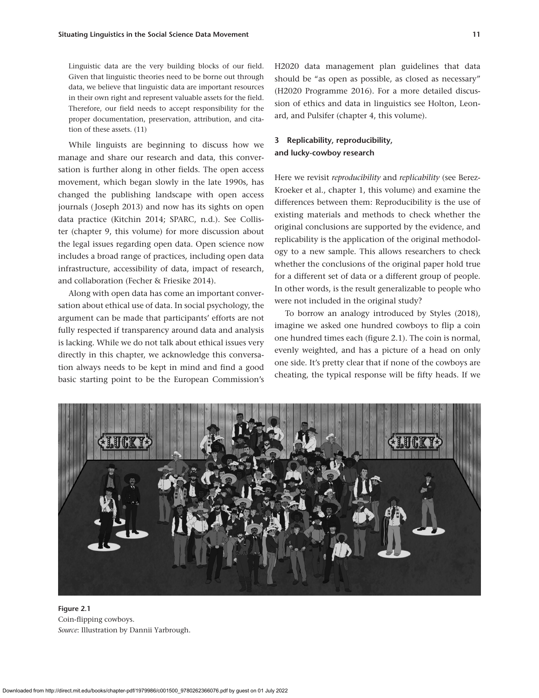Linguistic data are the very building blocks of our field. Given that linguistic theories need to be borne out through data, we believe that linguistic data are important resources in their own right and represent valuable assets for the field. Therefore, our field needs to accept responsibility for the proper documentation, preservation, attribution, and citation of these assets. (11)

While linguists are beginning to discuss how we manage and share our research and data, this conversation is further along in other fields. The open access movement, which began slowly in the late 1990s, has changed the publishing landscape with open access journals (Joseph 2013) and now has its sights on open data practice (Kitchin 2014; SPARC, n.d.). See Collister (chapter 9, this volume) for more discussion about the legal issues regarding open data. Open science now includes a broad range of practices, including open data infrastructure, accessibility of data, impact of research, and collaboration (Fecher & Friesike 2014).

Along with open data has come an important conversation about ethical use of data. In social psychology, the argument can be made that participants' efforts are not fully respected if transparency around data and analysis is lacking. While we do not talk about ethical issues very directly in this chapter, we acknowledge this conversation always needs to be kept in mind and find a good basic starting point to be the European Commission's H2020 data management plan guidelines that data should be "as open as possible, as closed as necessary" (H2020 Programme 2016). For a more detailed discussion of ethics and data in linguistics see Holton, Leonard, and Pulsifer (chapter 4, this volume).

# **3 Replicability, reproducibility, and lucky-cowboy research**

Here we revisit *reproducibility* and *replicability* (see Berez-Kroeker et al., chapter 1, this volume) and examine the differences between them: Reproducibility is the use of existing materials and methods to check whether the original conclusions are supported by the evidence, and replicability is the application of the original methodology to a new sample. This allows researchers to check whether the conclusions of the original paper hold true for a different set of data or a different group of people. In other words, is the result generalizable to people who were not included in the original study?

To borrow an analogy introduced by Styles (2018), imagine we asked one hundred cowboys to flip a coin one hundred times each (figure 2.1). The coin is normal, evenly weighted, and has a picture of a head on only one side. It's pretty clear that if none of the cowboys are cheating, the typical response will be fifty heads. If we



**Figure 2.1** Coin-flipping cowboys. *Source*: Illustration by Dannii Yarbrough.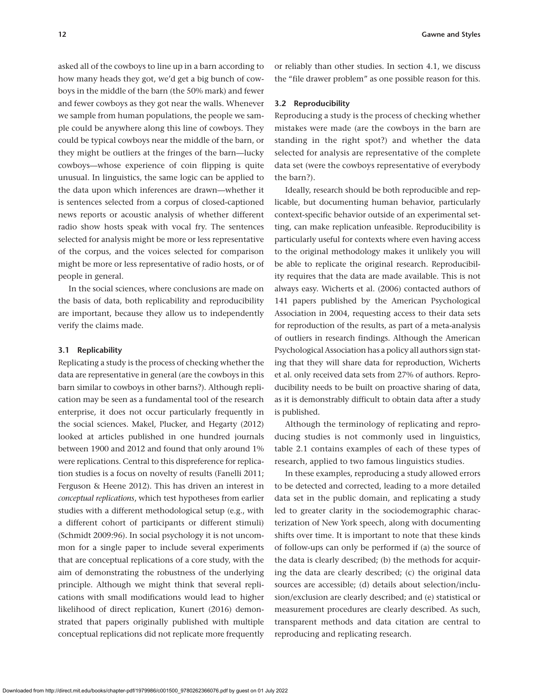asked all of the cowboys to line up in a barn according to how many heads they got, we'd get a big bunch of cowboys in the middle of the barn (the 50% mark) and fewer and fewer cowboys as they got near the walls. Whenever we sample from human populations, the people we sample could be anywhere along this line of cowboys. They could be typical cowboys near the middle of the barn, or they might be outliers at the fringes of the barn—lucky cowboys—whose experience of coin flipping is quite unusual. In linguistics, the same logic can be applied to the data upon which inferences are drawn—whether it is sentences selected from a corpus of closed-captioned news reports or acoustic analysis of whether different radio show hosts speak with vocal fry. The sentences selected for analysis might be more or less representative of the corpus, and the voices selected for comparison might be more or less representative of radio hosts, or of people in general.

In the social sciences, where conclusions are made on the basis of data, both replicability and reproducibility are important, because they allow us to independently verify the claims made.

#### **3.1 Replicability**

Replicating a study is the process of checking whether the data are representative in general (are the cowboys in this barn similar to cowboys in other barns?). Although replication may be seen as a fundamental tool of the research enterprise, it does not occur particularly frequently in the social sciences. Makel, Plucker, and Hegarty (2012) looked at articles published in one hundred journals between 1900 and 2012 and found that only around 1% were replications. Central to this dispreference for replication studies is a focus on novelty of results (Fanelli 2011; Ferguson & Heene 2012). This has driven an interest in *conceptual replications*, which test hypotheses from earlier studies with a different methodological setup (e.g., with a different cohort of participants or different stimuli) (Schmidt 2009:96). In social psychology it is not uncommon for a single paper to include several experiments that are conceptual replications of a core study, with the aim of demonstrating the robustness of the underlying principle. Although we might think that several replications with small modifications would lead to higher likelihood of direct replication, Kunert (2016) demonstrated that papers originally published with multiple conceptual replications did not replicate more frequently

or reliably than other studies. In section 4.1, we discuss the "file drawer problem" as one possible reason for this.

#### **3.2 Reproducibility**

Reproducing a study is the process of checking whether mistakes were made (are the cowboys in the barn are standing in the right spot?) and whether the data selected for analysis are representative of the complete data set (were the cowboys representative of everybody the barn?).

Ideally, research should be both reproducible and replicable, but documenting human behavior, particularly context-specific behavior outside of an experimental setting, can make replication unfeasible. Reproducibility is particularly useful for contexts where even having access to the original methodology makes it unlikely you will be able to replicate the original research. Reproducibility requires that the data are made available. This is not always easy. Wicherts et al. (2006) contacted authors of 141 papers published by the American Psychological Association in 2004, requesting access to their data sets for reproduction of the results, as part of a meta-analysis of outliers in research findings. Although the American Psychological Association has a policy all authors sign stating that they will share data for reproduction, Wicherts et al. only received data sets from 27% of authors. Reproducibility needs to be built on proactive sharing of data, as it is demonstrably difficult to obtain data after a study is published.

Although the terminology of replicating and reproducing studies is not commonly used in linguistics, table 2.1 contains examples of each of these types of research, applied to two famous linguistics studies.

In these examples, reproducing a study allowed errors to be detected and corrected, leading to a more detailed data set in the public domain, and replicating a study led to greater clarity in the sociodemographic characterization of New York speech, along with documenting shifts over time. It is important to note that these kinds of follow-ups can only be performed if (a) the source of the data is clearly described; (b) the methods for acquiring the data are clearly described; (c) the original data sources are accessible; (d) details about selection/inclusion/exclusion are clearly described; and (e) statistical or measurement procedures are clearly described. As such, transparent methods and data citation are central to reproducing and replicating research.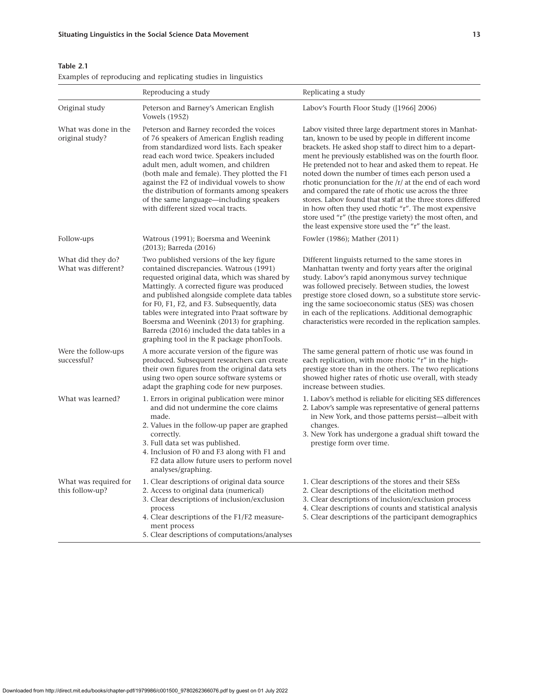|  | Examples of reproducing and replicating studies in linguistics |  |  |  |
|--|----------------------------------------------------------------|--|--|--|
|  |                                                                |  |  |  |
|  |                                                                |  |  |  |

|                                          | Reproducing a study                                                                                                                                                                                                                                                                                                                                                                                                                                                       | Replicating a study                                                                                                                                                                                                                                                                                                                                                                                                                                                                                                                                                                                                                                                                                                        |  |  |
|------------------------------------------|---------------------------------------------------------------------------------------------------------------------------------------------------------------------------------------------------------------------------------------------------------------------------------------------------------------------------------------------------------------------------------------------------------------------------------------------------------------------------|----------------------------------------------------------------------------------------------------------------------------------------------------------------------------------------------------------------------------------------------------------------------------------------------------------------------------------------------------------------------------------------------------------------------------------------------------------------------------------------------------------------------------------------------------------------------------------------------------------------------------------------------------------------------------------------------------------------------------|--|--|
| Original study                           | Peterson and Barney's American English<br><b>Vowels</b> (1952)                                                                                                                                                                                                                                                                                                                                                                                                            | Labov's Fourth Floor Study ([1966] 2006)                                                                                                                                                                                                                                                                                                                                                                                                                                                                                                                                                                                                                                                                                   |  |  |
| What was done in the<br>original study?  | Peterson and Barney recorded the voices<br>of 76 speakers of American English reading<br>from standardized word lists. Each speaker<br>read each word twice. Speakers included<br>adult men, adult women, and children<br>(both male and female). They plotted the F1<br>against the F2 of individual vowels to show<br>the distribution of formants among speakers<br>of the same language—including speakers<br>with different sized vocal tracts.                      | Labov visited three large department stores in Manhat-<br>tan, known to be used by people in different income<br>brackets. He asked shop staff to direct him to a depart-<br>ment he previously established was on the fourth floor.<br>He pretended not to hear and asked them to repeat. He<br>noted down the number of times each person used a<br>rhotic pronunciation for the $\frac{r}{4}$ at the end of each word<br>and compared the rate of rhotic use across the three<br>stores. Labov found that staff at the three stores differed<br>in how often they used rhotic "r". The most expensive<br>store used "r" (the prestige variety) the most often, and<br>the least expensive store used the "r" the least. |  |  |
| Follow-ups                               | Watrous (1991); Boersma and Weenink<br>$(2013)$ ; Barreda $(2016)$                                                                                                                                                                                                                                                                                                                                                                                                        | Fowler (1986); Mather (2011)                                                                                                                                                                                                                                                                                                                                                                                                                                                                                                                                                                                                                                                                                               |  |  |
| What did they do?<br>What was different? | Two published versions of the key figure<br>contained discrepancies. Watrous (1991)<br>requested original data, which was shared by<br>Mattingly. A corrected figure was produced<br>and published alongside complete data tables<br>for F0, F1, F2, and F3. Subsequently, data<br>tables were integrated into Praat software by<br>Boersma and Weenink (2013) for graphing.<br>Barreda (2016) included the data tables in a<br>graphing tool in the R package phonTools. | Different linguists returned to the same stores in<br>Manhattan twenty and forty years after the original<br>study. Labov's rapid anonymous survey technique<br>was followed precisely. Between studies, the lowest<br>prestige store closed down, so a substitute store servic-<br>ing the same socioeconomic status (SES) was chosen<br>in each of the replications. Additional demographic<br>characteristics were recorded in the replication samples.                                                                                                                                                                                                                                                                 |  |  |
| Were the follow-ups<br>successful?       | A more accurate version of the figure was<br>produced. Subsequent researchers can create<br>their own figures from the original data sets<br>using two open source software systems or<br>adapt the graphing code for new purposes.                                                                                                                                                                                                                                       | The same general pattern of rhotic use was found in<br>each replication, with more rhotic "r" in the high-<br>prestige store than in the others. The two replications<br>showed higher rates of rhotic use overall, with steady<br>increase between studies.                                                                                                                                                                                                                                                                                                                                                                                                                                                               |  |  |
| What was learned?                        | 1. Errors in original publication were minor<br>and did not undermine the core claims<br>made.<br>2. Values in the follow-up paper are graphed<br>correctly.<br>3. Full data set was published.<br>4. Inclusion of F0 and F3 along with F1 and<br>F2 data allow future users to perform novel<br>analyses/graphing.                                                                                                                                                       | 1. Labov's method is reliable for eliciting SES differences<br>2. Labov's sample was representative of general patterns<br>in New York, and those patterns persist—albeit with<br>changes.<br>3. New York has undergone a gradual shift toward the<br>prestige form over time.                                                                                                                                                                                                                                                                                                                                                                                                                                             |  |  |
| What was required for<br>this follow-up? | 1. Clear descriptions of original data source<br>2. Access to original data (numerical)<br>3. Clear descriptions of inclusion/exclusion<br>process<br>4. Clear descriptions of the F1/F2 measure-<br>ment process<br>5. Clear descriptions of computations/analyses                                                                                                                                                                                                       | 1. Clear descriptions of the stores and their SESs<br>2. Clear descriptions of the elicitation method<br>3. Clear descriptions of inclusion/exclusion process<br>4. Clear descriptions of counts and statistical analysis<br>5. Clear descriptions of the participant demographics                                                                                                                                                                                                                                                                                                                                                                                                                                         |  |  |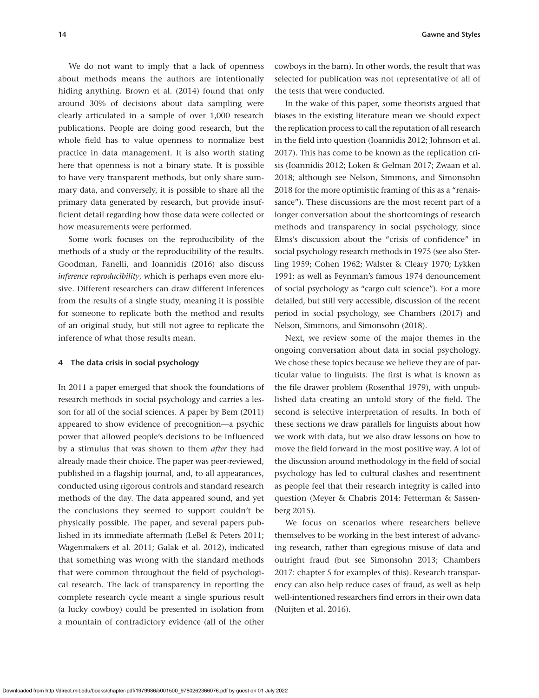We do not want to imply that a lack of openness about methods means the authors are intentionally hiding anything. Brown et al. (2014) found that only around 30% of decisions about data sampling were clearly articulated in a sample of over 1,000 research publications. People are doing good research, but the whole field has to value openness to normalize best practice in data management. It is also worth stating here that openness is not a binary state. It is possible to have very transparent methods, but only share summary data, and conversely, it is possible to share all the primary data generated by research, but provide insufficient detail regarding how those data were collected or how measurements were performed.

Some work focuses on the reproducibility of the methods of a study or the reproducibility of the results. Goodman, Fanelli, and Ioannidis (2016) also discuss *inference reproducibility*, which is perhaps even more elusive. Different researchers can draw different inferences from the results of a single study, meaning it is possible for someone to replicate both the method and results of an original study, but still not agree to replicate the inference of what those results mean.

#### **4 The data crisis in social psychology**

In 2011 a paper emerged that shook the foundations of research methods in social psychology and carries a lesson for all of the social sciences. A paper by Bem (2011) appeared to show evidence of precognition—a psychic power that allowed people's decisions to be influenced by a stimulus that was shown to them *after* they had already made their choice. The paper was peer-reviewed, published in a flagship journal, and, to all appearances, conducted using rigorous controls and standard research methods of the day. The data appeared sound, and yet the conclusions they seemed to support couldn't be physically possible. The paper, and several papers published in its immediate aftermath (LeBel & Peters 2011; Wagenmakers et al. 2011; Galak et al. 2012), indicated that something was wrong with the standard methods that were common throughout the field of psychological research. The lack of transparency in reporting the complete research cycle meant a single spurious result (a lucky cowboy) could be presented in isolation from a mountain of contradictory evidence (all of the other cowboys in the barn). In other words, the result that was selected for publication was not representative of all of the tests that were conducted.

In the wake of this paper, some theorists argued that biases in the existing literature mean we should expect the replication process to call the reputation of all research in the field into question (Ioannidis 2012; Johnson et al. 2017). This has come to be known as the replication crisis (Ioannidis 2012; Loken & Gelman 2017; Zwaan et al. 2018; although see Nelson, Simmons, and Simonsohn 2018 for the more optimistic framing of this as a "renaissance"). These discussions are the most recent part of a longer conversation about the shortcomings of research methods and transparency in social psychology, since Elms's discussion about the "crisis of confidence" in social psychology research methods in 1975 (see also Sterling 1959; Cohen 1962; Walster & Cleary 1970; Lykken 1991; as well as Feynman's famous 1974 denouncement of social psychology as "cargo cult science"). For a more detailed, but still very accessible, discussion of the recent period in social psychology, see Chambers (2017) and Nelson, Simmons, and Simonsohn (2018).

Next, we review some of the major themes in the ongoing conversation about data in social psychology. We chose these topics because we believe they are of particular value to linguists. The first is what is known as the file drawer problem (Rosenthal 1979), with unpublished data creating an untold story of the field. The second is selective interpretation of results. In both of these sections we draw parallels for linguists about how we work with data, but we also draw lessons on how to move the field forward in the most positive way. A lot of the discussion around methodology in the field of social psychology has led to cultural clashes and resentment as people feel that their research integrity is called into question (Meyer & Chabris 2014; Fetterman & Sassenberg 2015).

We focus on scenarios where researchers believe themselves to be working in the best interest of advancing research, rather than egregious misuse of data and outright fraud (but see Simonsohn 2013; Chambers 2017: chapter 5 for examples of this). Research transparency can also help reduce cases of fraud, as well as help well-intentioned researchers find errors in their own data (Nuijten et al. 2016).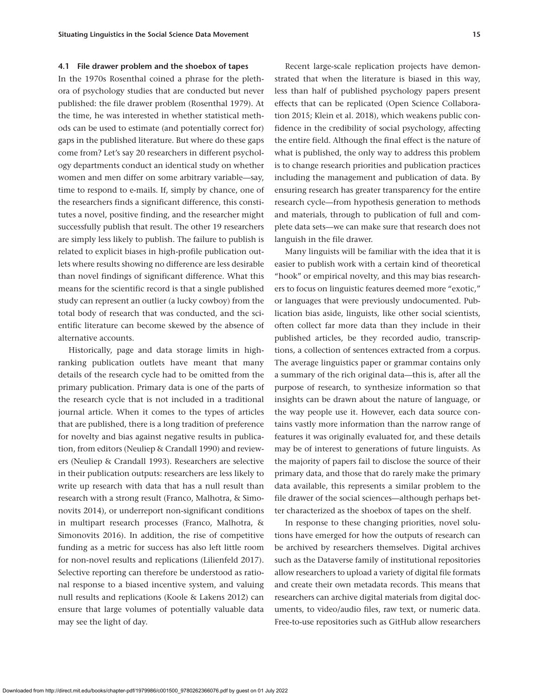#### **4.1 File drawer problem and the shoebox of tapes**

In the 1970s Rosenthal coined a phrase for the plethora of psychology studies that are conducted but never published: the file drawer problem (Rosenthal 1979). At the time, he was interested in whether statistical methods can be used to estimate (and potentially correct for) gaps in the published literature. But where do these gaps come from? Let's say 20 researchers in different psychology departments conduct an identical study on whether women and men differ on some arbitrary variable—say, time to respond to e-mails. If, simply by chance, one of the researchers finds a significant difference, this constitutes a novel, positive finding, and the researcher might successfully publish that result. The other 19 researchers are simply less likely to publish. The failure to publish is related to explicit biases in high-profile publication outlets where results showing no difference are less desirable than novel findings of significant difference. What this means for the scientific record is that a single published study can represent an outlier (a lucky cowboy) from the total body of research that was conducted, and the scientific literature can become skewed by the absence of alternative accounts.

Historically, page and data storage limits in highranking publication outlets have meant that many details of the research cycle had to be omitted from the primary publication. Primary data is one of the parts of the research cycle that is not included in a traditional journal article. When it comes to the types of articles that are published, there is a long tradition of preference for novelty and bias against negative results in publication, from editors (Neuliep & Crandall 1990) and reviewers (Neuliep & Crandall 1993). Researchers are selective in their publication outputs: researchers are less likely to write up research with data that has a null result than research with a strong result (Franco, Malhotra, & Simonovits 2014), or underreport non-significant conditions in multipart research processes (Franco, Malhotra, & Simonovits 2016). In addition, the rise of competitive funding as a metric for success has also left little room for non-novel results and replications (Lilienfeld 2017). Selective reporting can therefore be understood as rational response to a biased incentive system, and valuing null results and replications (Koole & Lakens 2012) can ensure that large volumes of potentially valuable data may see the light of day.

Recent large-scale replication projects have demonstrated that when the literature is biased in this way, less than half of published psychology papers present effects that can be replicated (Open Science Collaboration 2015; Klein et al. 2018), which weakens public confidence in the credibility of social psychology, affecting the entire field. Although the final effect is the nature of what is published, the only way to address this problem is to change research priorities and publication practices including the management and publication of data. By ensuring research has greater transparency for the entire research cycle—from hypothesis generation to methods and materials, through to publication of full and complete data sets—we can make sure that research does not languish in the file drawer.

Many linguists will be familiar with the idea that it is easier to publish work with a certain kind of theoretical "hook" or empirical novelty, and this may bias researchers to focus on linguistic features deemed more "exotic," or languages that were previously undocumented. Publication bias aside, linguists, like other social scientists, often collect far more data than they include in their published articles, be they recorded audio, transcriptions, a collection of sentences extracted from a corpus. The average linguistics paper or grammar contains only a summary of the rich original data—this is, after all the purpose of research, to synthesize information so that insights can be drawn about the nature of language, or the way people use it. However, each data source contains vastly more information than the narrow range of features it was originally evaluated for, and these details may be of interest to generations of future linguists. As the majority of papers fail to disclose the source of their primary data, and those that do rarely make the primary data available, this represents a similar problem to the file drawer of the social sciences—although perhaps better characterized as the shoebox of tapes on the shelf.

In response to these changing priorities, novel solutions have emerged for how the outputs of research can be archived by researchers themselves. Digital archives such as the Dataverse family of institutional repositories allow researchers to upload a variety of digital file formats and create their own metadata records. This means that researchers can archive digital materials from digital documents, to video/audio files, raw text, or numeric data. Free-to-use repositories such as GitHub allow researchers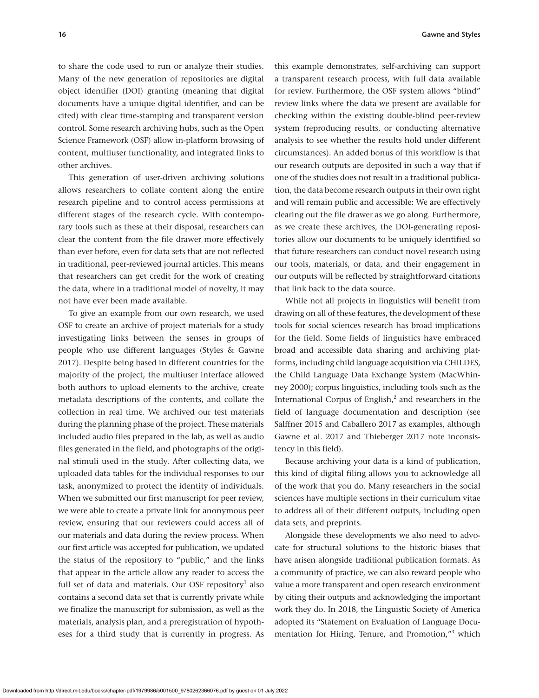to share the code used to run or analyze their studies. Many of the new generation of repositories are digital object identifier (DOI) granting (meaning that digital documents have a unique digital identifier, and can be cited) with clear time-stamping and transparent version control. Some research archiving hubs, such as the Open Science Framework (OSF) allow in-platform browsing of content, multiuser functionality, and integrated links to other archives.

This generation of user-driven archiving solutions allows researchers to collate content along the entire research pipeline and to control access permissions at different stages of the research cycle. With contemporary tools such as these at their disposal, researchers can clear the content from the file drawer more effectively than ever before, even for data sets that are not reflected in traditional, peer-reviewed journal articles. This means that researchers can get credit for the work of creating the data, where in a traditional model of novelty, it may not have ever been made available.

To give an example from our own research, we used OSF to create an archive of project materials for a study investigating links between the senses in groups of people who use different languages (Styles & Gawne 2017). Despite being based in different countries for the majority of the project, the multiuser interface allowed both authors to upload elements to the archive, create metadata descriptions of the contents, and collate the collection in real time. We archived our test materials during the planning phase of the project. These materials included audio files prepared in the lab, as well as audio files generated in the field, and photographs of the original stimuli used in the study. After collecting data, we uploaded data tables for the individual responses to our task, anonymized to protect the identity of individuals. When we submitted our first manuscript for peer review, we were able to create a private link for anonymous peer review, ensuring that our reviewers could access all of our materials and data during the review process. When our first article was accepted for publication, we updated the status of the repository to "public," and the links that appear in the article allow any reader to access the full set of data and materials. Our OSF repository<sup>1</sup> also contains a second data set that is currently private while we finalize the manuscript for submission, as well as the materials, analysis plan, and a preregistration of hypotheses for a third study that is currently in progress. As

this example demonstrates, self-archiving can support a transparent research process, with full data available for review. Furthermore, the OSF system allows "blind" review links where the data we present are available for checking within the existing double-blind peer-review system (reproducing results, or conducting alternative analysis to see whether the results hold under different circumstances). An added bonus of this workflow is that our research outputs are deposited in such a way that if one of the studies does not result in a traditional publication, the data become research outputs in their own right and will remain public and accessible: We are effectively clearing out the file drawer as we go along. Furthermore, as we create these archives, the DOI-generating repositories allow our documents to be uniquely identified so that future researchers can conduct novel research using our tools, materials, or data, and their engagement in our outputs will be reflected by straightforward citations that link back to the data source.

While not all projects in linguistics will benefit from drawing on all of these features, the development of these tools for social sciences research has broad implications for the field. Some fields of linguistics have embraced broad and accessible data sharing and archiving platforms, including child language acquisition via CHILDES, the Child Language Data Exchange System (MacWhinney 2000); corpus linguistics, including tools such as the International Corpus of English, $^2$  and researchers in the field of language documentation and description (see Salffner 2015 and Caballero 2017 as examples, although Gawne et al. 2017 and Thieberger 2017 note inconsistency in this field).

Because archiving your data is a kind of publication, this kind of digital filing allows you to acknowledge all of the work that you do. Many researchers in the social sciences have multiple sections in their curriculum vitae to address all of their different outputs, including open data sets, and preprints.

Alongside these developments we also need to advocate for structural solutions to the historic biases that have arisen alongside traditional publication formats. As a community of practice, we can also reward people who value a more transparent and open research environment by citing their outputs and acknowledging the important work they do. In 2018, the Linguistic Society of America adopted its "Statement on Evaluation of Language Documentation for Hiring, Tenure, and Promotion,"3 which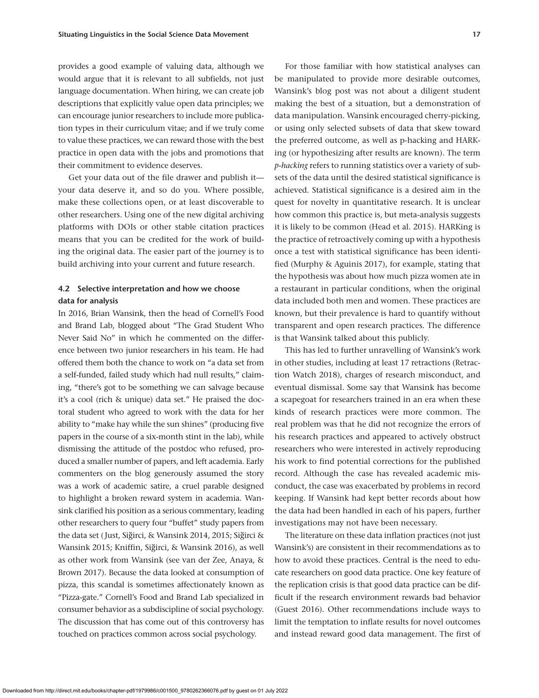provides a good example of valuing data, although we would argue that it is relevant to all subfields, not just language documentation. When hiring, we can create job descriptions that explicitly value open data principles; we can encourage junior researchers to include more publication types in their curriculum vitae; and if we truly come to value these practices, we can reward those with the best practice in open data with the jobs and promotions that their commitment to evidence deserves.

Get your data out of the file drawer and publish it your data deserve it, and so do you. Where possible, make these collections open, or at least discoverable to other researchers. Using one of the new digital archiving platforms with DOIs or other stable citation practices means that you can be credited for the work of building the original data. The easier part of the journey is to build archiving into your current and future research.

# **4.2 Selective interpretation and how we choose data for analysis**

In 2016, Brian Wansink, then the head of Cornell's Food and Brand Lab, blogged about "The Grad Student Who Never Said No" in which he commented on the difference between two junior researchers in his team. He had offered them both the chance to work on "a data set from a self-funded, failed study which had null results," claiming, "there's got to be something we can salvage because it's a cool (rich & unique) data set." He praised the doctoral student who agreed to work with the data for her ability to "make hay while the sun shines" (producing five papers in the course of a six-month stint in the lab), while dismissing the attitude of the postdoc who refused, produced a smaller number of papers, and left academia. Early commenters on the blog generously assumed the story was a work of academic satire, a cruel parable designed to highlight a broken reward system in academia. Wansink clarified his position as a serious commentary, leading other researchers to query four "buffet" study papers from the data set (Just, Siğirci, & Wansink 2014, 2015; Siğirci & Wansink 2015; Kniffin, Siğirci, & Wansink 2016), as well as other work from Wansink (see van der Zee, Anaya, & Brown 2017). Because the data looked at consumption of pizza, this scandal is sometimes affectionately known as "Pizza-gate." Cornell's Food and Brand Lab specialized in consumer behavior as a subdiscipline of social psychology. The discussion that has come out of this controversy has touched on practices common across social psychology.

For those familiar with how statistical analyses can be manipulated to provide more desirable outcomes, Wansink's blog post was not about a diligent student making the best of a situation, but a demonstration of data manipulation. Wansink encouraged cherry-picking, or using only selected subsets of data that skew toward the preferred outcome, as well as p-hacking and HARKing (or hypothesizing after results are known). The term *p-hacking* refers to running statistics over a variety of subsets of the data until the desired statistical significance is achieved. Statistical significance is a desired aim in the quest for novelty in quantitative research. It is unclear how common this practice is, but meta-analysis suggests it is likely to be common (Head et al. 2015). HARKing is the practice of retroactively coming up with a hypothesis once a test with statistical significance has been identified (Murphy & Aguinis 2017), for example, stating that the hypothesis was about how much pizza women ate in a restaurant in particular conditions, when the original data included both men and women. These practices are known, but their prevalence is hard to quantify without transparent and open research practices. The difference is that Wansink talked about this publicly.

This has led to further unravelling of Wansink's work in other studies, including at least 17 retractions (Retraction Watch 2018), charges of research misconduct, and eventual dismissal. Some say that Wansink has become a scapegoat for researchers trained in an era when these kinds of research practices were more common. The real problem was that he did not recognize the errors of his research practices and appeared to actively obstruct researchers who were interested in actively reproducing his work to find potential corrections for the published record. Although the case has revealed academic misconduct, the case was exacerbated by problems in record keeping. If Wansink had kept better records about how the data had been handled in each of his papers, further investigations may not have been necessary.

The literature on these data inflation practices (not just Wansink's) are consistent in their recommendations as to how to avoid these practices. Central is the need to educate researchers on good data practice. One key feature of the replication crisis is that good data practice can be difficult if the research environment rewards bad behavior (Guest 2016). Other recommendations include ways to limit the temptation to inflate results for novel outcomes and instead reward good data management. The first of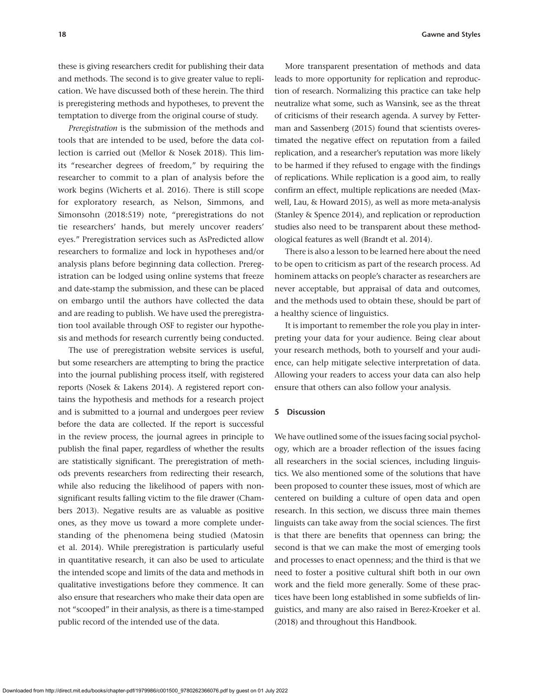these is giving researchers credit for publishing their data and methods. The second is to give greater value to replication. We have discussed both of these herein. The third is preregistering methods and hypotheses, to prevent the temptation to diverge from the original course of study.

*Preregistration* is the submission of the methods and tools that are intended to be used, before the data collection is carried out (Mellor & Nosek 2018). This limits "researcher degrees of freedom," by requiring the researcher to commit to a plan of analysis before the work begins (Wicherts et al. 2016). There is still scope for exploratory research, as Nelson, Simmons, and Simonsohn (2018:519) note, "preregistrations do not tie researchers' hands, but merely uncover readers' eyes." Preregistration services such as AsPredicted allow researchers to formalize and lock in hypotheses and/or analysis plans before beginning data collection. Preregistration can be lodged using online systems that freeze and date-stamp the submission, and these can be placed on embargo until the authors have collected the data and are reading to publish. We have used the preregistration tool available through OSF to register our hypothesis and methods for research currently being conducted.

The use of preregistration website services is useful, but some researchers are attempting to bring the practice into the journal publishing process itself, with registered reports (Nosek & Lakens 2014). A registered report contains the hypothesis and methods for a research project and is submitted to a journal and undergoes peer review before the data are collected. If the report is successful in the review process, the journal agrees in principle to publish the final paper, regardless of whether the results are statistically significant. The preregistration of methods prevents researchers from redirecting their research, while also reducing the likelihood of papers with nonsignificant results falling victim to the file drawer (Chambers 2013). Negative results are as valuable as positive ones, as they move us toward a more complete understanding of the phenomena being studied (Matosin et al. 2014). While preregistration is particularly useful in quantitative research, it can also be used to articulate the intended scope and limits of the data and methods in qualitative investigations before they commence. It can also ensure that researchers who make their data open are not "scooped" in their analysis, as there is a time-stamped public record of the intended use of the data.

More transparent presentation of methods and data leads to more opportunity for replication and reproduction of research. Normalizing this practice can take help neutralize what some, such as Wansink, see as the threat of criticisms of their research agenda. A survey by Fetterman and Sassenberg (2015) found that scientists overestimated the negative effect on reputation from a failed replication, and a researcher's reputation was more likely to be harmed if they refused to engage with the findings of replications. While replication is a good aim, to really confirm an effect, multiple replications are needed (Maxwell, Lau, & Howard 2015), as well as more meta-analysis (Stanley & Spence 2014), and replication or reproduction studies also need to be transparent about these methodological features as well (Brandt et al. 2014).

There is also a lesson to be learned here about the need to be open to criticism as part of the research process. Ad hominem attacks on people's character as researchers are never acceptable, but appraisal of data and outcomes, and the methods used to obtain these, should be part of a healthy science of linguistics.

It is important to remember the role you play in interpreting your data for your audience. Being clear about your research methods, both to yourself and your audience, can help mitigate selective interpretation of data. Allowing your readers to access your data can also help ensure that others can also follow your analysis.

#### **5 Discussion**

We have outlined some of the issues facing social psychology, which are a broader reflection of the issues facing all researchers in the social sciences, including linguistics. We also mentioned some of the solutions that have been proposed to counter these issues, most of which are centered on building a culture of open data and open research. In this section, we discuss three main themes linguists can take away from the social sciences. The first is that there are benefits that openness can bring; the second is that we can make the most of emerging tools and processes to enact openness; and the third is that we need to foster a positive cultural shift both in our own work and the field more generally. Some of these practices have been long established in some subfields of linguistics, and many are also raised in Berez-Kroeker et al. (2018) and throughout this Handbook.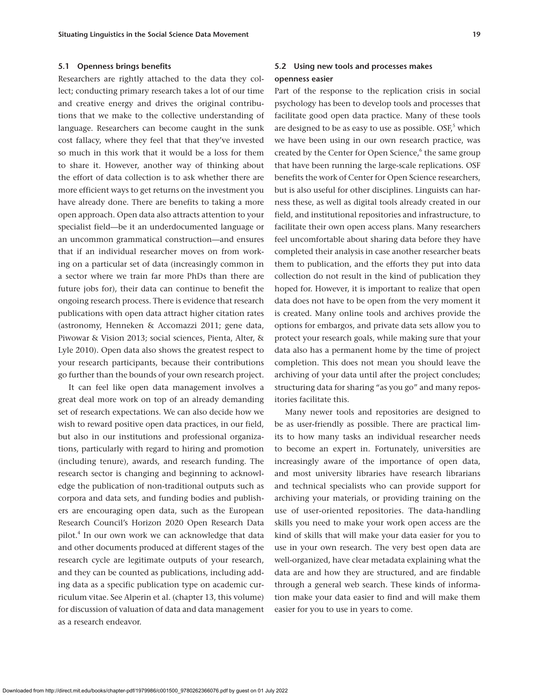Researchers are rightly attached to the data they collect; conducting primary research takes a lot of our time and creative energy and drives the original contributions that we make to the collective understanding of language. Researchers can become caught in the sunk cost fallacy, where they feel that that they've invested so much in this work that it would be a loss for them to share it. However, another way of thinking about the effort of data collection is to ask whether there are more efficient ways to get returns on the investment you have already done. There are benefits to taking a more open approach. Open data also attracts attention to your specialist field—be it an underdocumented language or an uncommon grammatical construction—and ensures that if an individual researcher moves on from working on a particular set of data (increasingly common in a sector where we train far more PhDs than there are future jobs for), their data can continue to benefit the ongoing research process. There is evidence that research publications with open data attract higher citation rates (astronomy, Henneken & Accomazzi 2011; gene data, Piwowar & Vision 2013; social sciences, Pienta, Alter, & Lyle 2010). Open data also shows the greatest respect to your research participants, because their contributions go further than the bounds of your own research project.

It can feel like open data management involves a great deal more work on top of an already demanding set of research expectations. We can also decide how we wish to reward positive open data practices, in our field, but also in our institutions and professional organizations, particularly with regard to hiring and promotion (including tenure), awards, and research funding. The research sector is changing and beginning to acknowledge the publication of non-traditional outputs such as corpora and data sets, and funding bodies and publishers are encouraging open data, such as the European Research Council's Horizon 2020 Open Research Data pilot.4 In our own work we can acknowledge that data and other documents produced at different stages of the research cycle are legitimate outputs of your research, and they can be counted as publications, including adding data as a specific publication type on academic curriculum vitae. See Alperin et al. (chapter 13, this volume) for discussion of valuation of data and data management as a research endeavor.

# **5.2 Using new tools and processes makes openness easier**

Part of the response to the replication crisis in social psychology has been to develop tools and processes that facilitate good open data practice. Many of these tools are designed to be as easy to use as possible. OSF,<sup>5</sup> which we have been using in our own research practice, was created by the Center for Open Science,<sup>6</sup> the same group that have been running the large-scale replications. OSF benefits the work of Center for Open Science researchers, but is also useful for other disciplines. Linguists can harness these, as well as digital tools already created in our field, and institutional repositories and infrastructure, to facilitate their own open access plans. Many researchers feel uncomfortable about sharing data before they have completed their analysis in case another researcher beats them to publication, and the efforts they put into data collection do not result in the kind of publication they hoped for. However, it is important to realize that open data does not have to be open from the very moment it is created. Many online tools and archives provide the options for embargos, and private data sets allow you to protect your research goals, while making sure that your data also has a permanent home by the time of project completion. This does not mean you should leave the archiving of your data until after the project concludes; structuring data for sharing "as you go" and many repositories facilitate this.

Many newer tools and repositories are designed to be as user-friendly as possible. There are practical limits to how many tasks an individual researcher needs to become an expert in. Fortunately, universities are increasingly aware of the importance of open data, and most university libraries have research librarians and technical specialists who can provide support for archiving your materials, or providing training on the use of user-oriented repositories. The data-handling skills you need to make your work open access are the kind of skills that will make your data easier for you to use in your own research. The very best open data are well-organized, have clear metadata explaining what the data are and how they are structured, and are findable through a general web search. These kinds of information make your data easier to find and will make them easier for you to use in years to come.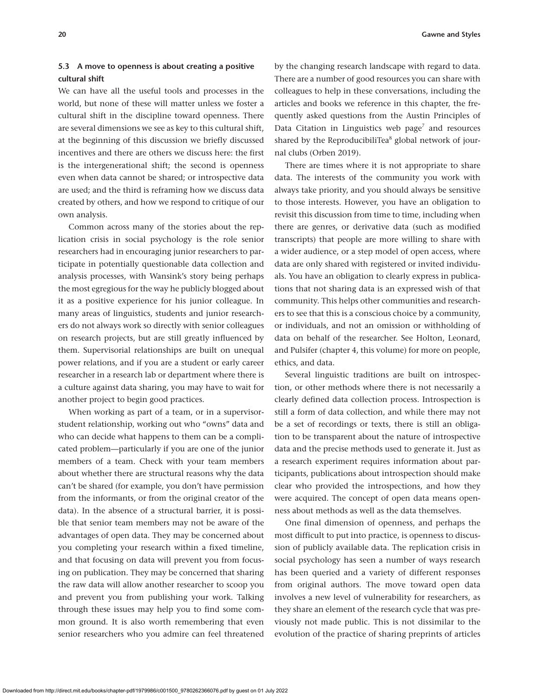# **5.3 A move to openness is about creating a positive cultural shift**

We can have all the useful tools and processes in the world, but none of these will matter unless we foster a cultural shift in the discipline toward openness. There are several dimensions we see as key to this cultural shift, at the beginning of this discussion we briefly discussed incentives and there are others we discuss here: the first is the intergenerational shift; the second is openness even when data cannot be shared; or introspective data are used; and the third is reframing how we discuss data created by others, and how we respond to critique of our own analysis.

Common across many of the stories about the replication crisis in social psychology is the role senior researchers had in encouraging junior researchers to participate in potentially questionable data collection and analysis processes, with Wansink's story being perhaps the most egregious for the way he publicly blogged about it as a positive experience for his junior colleague. In many areas of linguistics, students and junior researchers do not always work so directly with senior colleagues on research projects, but are still greatly influenced by them. Supervisorial relationships are built on unequal power relations, and if you are a student or early career researcher in a research lab or department where there is a culture against data sharing, you may have to wait for another project to begin good practices.

When working as part of a team, or in a supervisorstudent relationship, working out who "owns" data and who can decide what happens to them can be a complicated problem—particularly if you are one of the junior members of a team. Check with your team members about whether there are structural reasons why the data can't be shared (for example, you don't have permission from the informants, or from the original creator of the data). In the absence of a structural barrier, it is possible that senior team members may not be aware of the advantages of open data. They may be concerned about you completing your research within a fixed timeline, and that focusing on data will prevent you from focusing on publication. They may be concerned that sharing the raw data will allow another researcher to scoop you and prevent you from publishing your work. Talking through these issues may help you to find some common ground. It is also worth remembering that even senior researchers who you admire can feel threatened

by the changing research landscape with regard to data. There are a number of good resources you can share with colleagues to help in these conversations, including the articles and books we reference in this chapter, the frequently asked questions from the Austin Principles of Data Citation in Linguistics web page<sup>7</sup> and resources shared by the ReproducibiliTea<sup>8</sup> global network of journal clubs (Orben 2019).

There are times where it is not appropriate to share data. The interests of the community you work with always take priority, and you should always be sensitive to those interests. However, you have an obligation to revisit this discussion from time to time, including when there are genres, or derivative data (such as modified transcripts) that people are more willing to share with a wider audience, or a step model of open access, where data are only shared with registered or invited individuals. You have an obligation to clearly express in publications that not sharing data is an expressed wish of that community. This helps other communities and researchers to see that this is a conscious choice by a community, or individuals, and not an omission or withholding of data on behalf of the researcher. See Holton, Leonard, and Pulsifer (chapter 4, this volume) for more on people, ethics, and data.

Several linguistic traditions are built on introspection, or other methods where there is not necessarily a clearly defined data collection process. Introspection is still a form of data collection, and while there may not be a set of recordings or texts, there is still an obligation to be transparent about the nature of introspective data and the precise methods used to generate it. Just as a research experiment requires information about participants, publications about introspection should make clear who provided the introspections, and how they were acquired. The concept of open data means openness about methods as well as the data themselves.

One final dimension of openness, and perhaps the most difficult to put into practice, is openness to discussion of publicly available data. The replication crisis in social psychology has seen a number of ways research has been queried and a variety of different responses from original authors. The move toward open data involves a new level of vulnerability for researchers, as they share an element of the research cycle that was previously not made public. This is not dissimilar to the evolution of the practice of sharing preprints of articles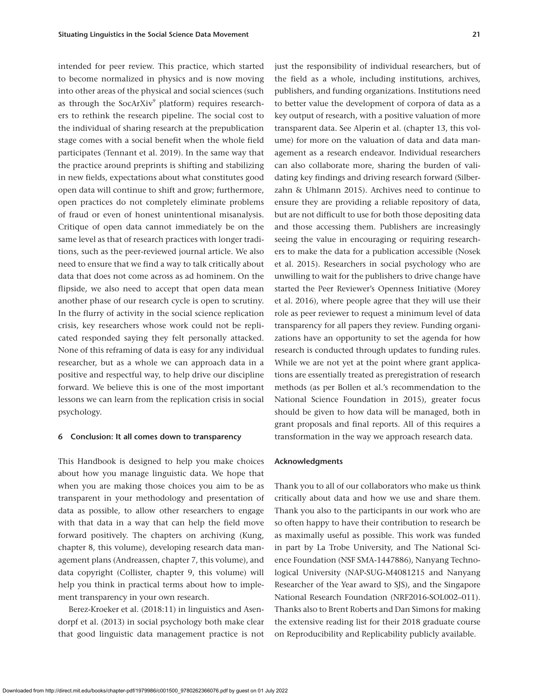intended for peer review. This practice, which started to become normalized in physics and is now moving into other areas of the physical and social sciences (such as through the SocArXiv<sup>9</sup> platform) requires researchers to rethink the research pipeline. The social cost to the individual of sharing research at the prepublication stage comes with a social benefit when the whole field participates (Tennant et al. 2019). In the same way that the practice around preprints is shifting and stabilizing in new fields, expectations about what constitutes good open data will continue to shift and grow; furthermore, open practices do not completely eliminate problems of fraud or even of honest unintentional misanalysis. Critique of open data cannot immediately be on the same level as that of research practices with longer traditions, such as the peer-reviewed journal article. We also need to ensure that we find a way to talk critically about data that does not come across as ad hominem. On the flipside, we also need to accept that open data mean another phase of our research cycle is open to scrutiny. In the flurry of activity in the social science replication crisis, key researchers whose work could not be replicated responded saying they felt personally attacked. None of this reframing of data is easy for any individual researcher, but as a whole we can approach data in a positive and respectful way, to help drive our discipline forward. We believe this is one of the most important lessons we can learn from the replication crisis in social psychology.

#### **6 Conclusion: It all comes down to transparency**

This Handbook is designed to help you make choices about how you manage linguistic data. We hope that when you are making those choices you aim to be as transparent in your methodology and presentation of data as possible, to allow other researchers to engage with that data in a way that can help the field move forward positively. The chapters on archiving (Kung, chapter 8, this volume), developing research data management plans (Andreassen, chapter 7, this volume), and data copyright (Collister, chapter 9, this volume) will help you think in practical terms about how to implement transparency in your own research.

Berez-Kroeker et al. (2018:11) in linguistics and Asendorpf et al. (2013) in social psychology both make clear that good linguistic data management practice is not

just the responsibility of individual researchers, but of the field as a whole, including institutions, archives, publishers, and funding organizations. Institutions need to better value the development of corpora of data as a key output of research, with a positive valuation of more transparent data. See Alperin et al. (chapter 13, this volume) for more on the valuation of data and data management as a research endeavor. Individual researchers can also collaborate more, sharing the burden of validating key findings and driving research forward (Silberzahn & Uhlmann 2015). Archives need to continue to ensure they are providing a reliable repository of data, but are not difficult to use for both those depositing data and those accessing them. Publishers are increasingly seeing the value in encouraging or requiring researchers to make the data for a publication accessible (Nosek et al. 2015). Researchers in social psychology who are unwilling to wait for the publishers to drive change have started the Peer Reviewer's Openness Initiative (Morey et al. 2016), where people agree that they will use their role as peer reviewer to request a minimum level of data transparency for all papers they review. Funding organizations have an opportunity to set the agenda for how research is conducted through updates to funding rules. While we are not yet at the point where grant applications are essentially treated as preregistration of research methods (as per Bollen et al.'s recommendation to the National Science Foundation in 2015), greater focus should be given to how data will be managed, both in grant proposals and final reports. All of this requires a transformation in the way we approach research data.

#### **Acknowledgments**

Thank you to all of our collaborators who make us think critically about data and how we use and share them. Thank you also to the participants in our work who are so often happy to have their contribution to research be as maximally useful as possible. This work was funded in part by La Trobe University, and The National Science Foundation (NSF SMA-1447886), Nanyang Technological University (NAP-SUG-M4081215 and Nanyang Researcher of the Year award to SJS), and the Singapore National Research Foundation (NRF2016-SOL002–011). Thanks also to Brent Roberts and Dan Simons for making the extensive reading list for their 2018 graduate course on Reproducibility and Replicability publicly available.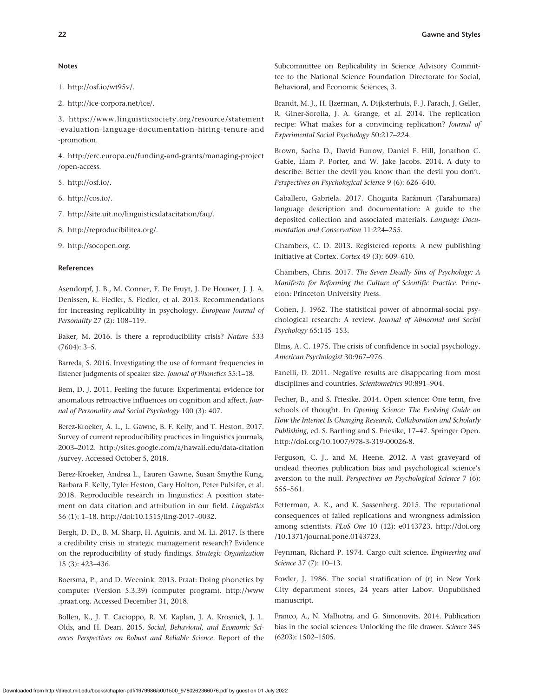#### **Notes**

1. [http://osf.io/wt95v/.](http://osf.io/wt95v/)

2. <http://ice-corpora.net/ice/>.

3. [https://www.linguisticsociety.org/resource/statement](https://www.linguisticsociety.org/resource/statement-evaluation-language-documentation-hiring-tenure-and-promotion) [-evaluation-language-documentation-hiring-tenure-and](https://www.linguisticsociety.org/resource/statement-evaluation-language-documentation-hiring-tenure-and-promotion) [-promotion.](https://www.linguisticsociety.org/resource/statement-evaluation-language-documentation-hiring-tenure-and-promotion)

4. [http://erc.europa.eu/funding-and-grants/managing-project](http://erc.europa.eu/funding-and-grants/managing-project/open-access) [/open-access.](http://erc.europa.eu/funding-and-grants/managing-project/open-access)

- 5. [http://osf.io/.](http://osf.io/)
- 6. [http://cos.io/.](http://cos.io/)
- 7. [http://site.uit.no/linguisticsdatacitation/faq/.](http://site.uit.no/linguisticsdatacitation/faq/)
- 8. <http://reproducibilitea.org/>.
- 9. <http://socopen.org>.

#### **References**

Asendorpf, J. B., M. Conner, F. De Fruyt, J. De Houwer, J. J. A. Denissen, K. Fiedler, S. Fiedler, et al. 2013. Recommendations for increasing replicability in psychology. *European Journal of Personality* 27 (2): 108–119.

Baker, M. 2016. Is there a reproducibility crisis? *Nature* 533 (7604): 3–5.

Barreda, S. 2016. Investigating the use of formant frequencies in listener judgments of speaker size. *Journal of Phonetics* 55:1–18.

Bem, D. J. 2011. Feeling the future: Experimental evidence for anomalous retroactive influences on cognition and affect. *Journal of Personality and Social Psychology* 100 (3): 407.

Berez-Kroeker, A. L., L. Gawne, B. F. Kelly, and T. Heston. 2017. Survey of current reproducibility practices in linguistics journals, 2003–2012. [http://sites.google.com/a/hawaii.edu/data-citation](http://sites.google.com/a/hawaii.edu/data-citation/survey) [/survey.](http://sites.google.com/a/hawaii.edu/data-citation/survey) Accessed October 5, 2018.

Berez-Kroeker, Andrea L., Lauren Gawne, Susan Smythe Kung, Barbara F. Kelly, Tyler Heston, Gary Holton, Peter Pulsifer, et al. 2018. Reproducible research in linguistics: A position statement on data citation and attribution in our field. *Linguistics* 56 (1): 1–18. [http://doi:10.1515/ling-2017–0032.](http://doi:10.1515/ling-2017-0032)

Bergh, D. D., B. M. Sharp, H. Aguinis, and M. Li. 2017. Is there a credibility crisis in strategic management research? Evidence on the reproducibility of study findings. *Strategic Organization* 15 (3): 423–436.

Boersma, P., and D. Weenink. 2013. Praat: Doing phonetics by computer (Version 5.3.39) (computer program). [http://www](http://www.praat.org) [.praat.org.](http://www.praat.org) Accessed December 31, 2018.

Bollen, K., J. T. Cacioppo, R. M. Kaplan, J. A. Krosnick, J. L. Olds, and H. Dean. 2015. *Social, Behavioral, and Economic Sciences Perspectives on Robust and Reliable Science.* Report of the Subcommittee on Replicability in Science Advisory Committee to the National Science Foundation Directorate for Social, Behavioral, and Economic Sciences, 3.

Brandt, M. J., H. IJzerman, A. Dijksterhuis, F. J. Farach, J. Geller, R. Giner-Sorolla, J. A. Grange, et al. 2014. The replication recipe: What makes for a convincing replication? *Journal of Experimental Social Psychology* 50:217–224.

Brown, Sacha D., David Furrow, Daniel F. Hill, Jonathon C. Gable, Liam P. Porter, and W. Jake Jacobs. 2014. A duty to describe: Better the devil you know than the devil you don't. *Perspectives on Psychological Science* 9 (6): 626–640.

Caballero, Gabriela. 2017. Choguita Rarámuri (Tarahumara) language description and documentation: A guide to the deposited collection and associated materials. *Language Documentation and Conservation* 11:224–255.

Chambers, C. D. 2013. Registered reports: A new publishing initiative at Cortex. *Cortex* 49 (3): 609–610.

Chambers, Chris. 2017. *The Seven Deadly Sins of Psychology: A Manifesto for Reforming the Culture of Scientific Practice*. Princeton: Princeton University Press.

Cohen, J. 1962. The statistical power of abnormal-social psychological research: A review. *Journal of Abnormal and Social Psychology* 65:145–153.

Elms, A. C. 1975. The crisis of confidence in social psychology. *American Psychologist* 30:967–976.

Fanelli, D. 2011. Negative results are disappearing from most disciplines and countries. *Scientometrics* 90:891–904.

Fecher, B., and S. Friesike. 2014. Open science: One term, five schools of thought. In *Opening Science: The Evolving Guide on How the Internet Is Changing Research, Collaboration and Scholarly Publishing*, ed. S. Bartling and S. Friesike, 17–47. Springer Open. [http://doi.org/10.1007/978-3-319-00026-8.](http://doi.org/10.1007/978-3-319-00026-8)

Ferguson, C. J., and M. Heene. 2012. A vast graveyard of undead theories publication bias and psychological science's aversion to the null. *Perspectives on Psychological Science* 7 (6): 555–561.

Fetterman, A. K., and K. Sassenberg. 2015. The reputational consequences of failed replications and wrongness admission among scientists. *PLoS One* 10 (12): e0143723. [http://doi.org](http://doi.org/10.1371/journal.pone.0143723) [/10.1371/journal.pone.0143723](http://doi.org/10.1371/journal.pone.0143723).

Feynman, Richard P. 1974. Cargo cult science. *Engineering and Science* 37 (7): 10–13.

Fowler, J. 1986. The social stratification of (r) in New York City department stores, 24 years after Labov. Unpublished manuscript.

Franco, A., N. Malhotra, and G. Simonovits. 2014. Publication bias in the social sciences: Unlocking the file drawer. *Science* 345 (6203): 1502–1505.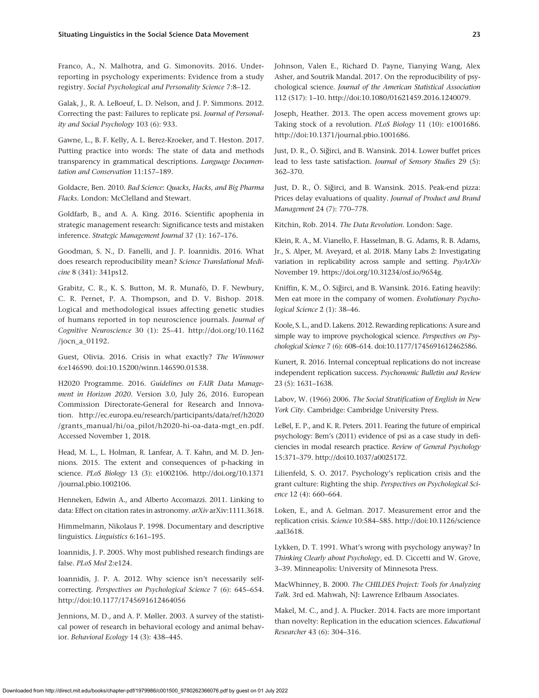Franco, A., N. Malhotra, and G. Simonovits. 2016. Underreporting in psychology experiments: Evidence from a study registry. *Social Psychological and Personality Science* 7:8–12.

Galak, J., R. A. LeBoeuf, L. D. Nelson, and J. P. Simmons. 2012. Correcting the past: Failures to replicate psi. *Journal of Personality and Social Psychology* 103 (6): 933.

Gawne, L., B. F. Kelly, A. L. Berez-Kroeker, and T. Heston. 2017. Putting practice into words: The state of data and methods transparency in grammatical descriptions. *Language Documentation and Conservation* 11:157–189.

Goldacre, Ben. 2010. *Bad Science*: *Quacks, Hacks, and Big Pharma Flacks*. London: McClelland and Stewart.

Goldfarb, B., and A. A. King. 2016. Scientific apophenia in strategic management research: Significance tests and mistaken inference. *Strategic Management Journal* 37 (1): 167–176.

Goodman, S. N., D. Fanelli, and J. P. Ioannidis. 2016. What does research reproducibility mean? *Science Translational Medicine* 8 (341): 341ps12.

Grabitz, C. R., K. S. Button, M. R. Munafò, D. F. Newbury, C. R. Pernet, P. A. Thompson, and D. V. Bishop. 2018. Logical and methodological issues affecting genetic studies of humans reported in top neuroscience journals. *Journal of Cognitive Neuroscience* 30 (1): 25–41. [http://doi.org/10.1162](http://doi.org/10.1162/jocn_a_01192) [/jocn\\_a\\_01192.](http://doi.org/10.1162/jocn_a_01192)

Guest, Olivia. 2016. Crisis in what exactly? *The Winnower* 6:e146590. doi:10.15200/winn.146590.01538.

H2020 Programme. 2016. *Guidelines on FAIR Data Management in Horizon 2020*. Version 3.0, July 26, 2016. European Commission Directorate-General for Research and Innovation. [http://ec.europa.eu/research/participants/data/ref/h2020](http://ec.europa.eu/research/participants/data/ref/h2020/grants_manual/hi/oa_pilot/h2020-hi-oa-data-mgt_en.pdf) [/grants\\_manual/hi/oa\\_pilot/h2020-hi-oa-data-mgt\\_en.pdf](http://ec.europa.eu/research/participants/data/ref/h2020/grants_manual/hi/oa_pilot/h2020-hi-oa-data-mgt_en.pdf). Accessed November 1, 2018.

Head, M. L., L. Holman, R. Lanfear, A. T. Kahn, and M. D. Jennions. 2015. The extent and consequences of p-hacking in science. *PLoS Biology* 13 (3): e1002106. [http://doi.org/10.1371](http://doi.org/10.1371/journal.pbio.1002106) [/journal.pbio.1002106.](http://doi.org/10.1371/journal.pbio.1002106)

Henneken, Edwin A., and Alberto Accomazzi. 2011. Linking to data: Effect on citation rates in astronomy. *arXiv* arXiv:1111.3618.

Himmelmann, Nikolaus P. 1998. Documentary and descriptive linguistics. *Linguistics* 6:161–195.

Ioannidis, J. P. 2005. Why most published research findings are false. *PLoS Med* 2:e124.

Ioannidis, J. P. A. 2012. Why science isn't necessarily selfcorrecting. *Perspectives on Psychological Science* 7 (6): 645–654. <http://doi:10.1177/1745691612464056>

Jennions, M. D., and A. P. Møller. 2003. A survey of the statistical power of research in behavioral ecology and animal behavior. *Behavioral Ecology* 14 (3): 438–445.

Johnson, Valen E., Richard D. Payne, Tianying Wang, Alex Asher, and Soutrik Mandal. 2017. On the reproducibility of psychological science. *Journal of the American Statistical Association* 112 (517): 1–10. [http://doi:10.1080/01621459.2016.1240079.](http://doi:10.1080/01621459.2016.1240079)

Joseph, Heather. 2013. The open access movement grows up: Taking stock of a revolution. *PLoS Biology* 11 (10): e1001686. [http://doi:10.1371/journal.pbio.1001686.](http://doi:10.1371/journal.pbio.1001686)

Just, D. R., Ö. Siğirci, and B. Wansink. 2014. Lower buffet prices lead to less taste satisfaction. *Journal of Sensory Studies* 29 (5): 362–370.

Just, D. R., Ö. Siğirci, and B. Wansink. 2015. Peak-end pizza: Prices delay evaluations of quality. *Journal of Product and Brand Management* 24 (7): 770–778.

Kitchin, Rob. 2014. *The Data Revolution*. London: Sage.

Klein, R. A., M. Vianello, F. Hasselman, B. G. Adams, R. B. Adams, Jr., S. Alper, M. Aveyard, et al. 2018. Many Labs 2: Investigating variation in replicability across sample and setting. *PsyArXiv* November 19.<https://doi.org/10.31234/osf.io/9654g>.

Kniffin, K. M., Ö. Siğirci, and B. Wansink. 2016. Eating heavily: Men eat more in the company of women. *Evolutionary Psychological Science* 2 (1): 38–46.

Koole, S. L., and D. Lakens. 2012. Rewarding replications: A sure and simple way to improve psychological science. *Perspectives on Psychological Science* 7 (6): 608–614. doi:10.1177/1745691612462586.

Kunert, R. 2016. Internal conceptual replications do not increase independent replication success. *Psychonomic Bulletin and Review* 23 (5): 1631–1638.

Labov, W. (1966) 2006. *The Social Stratification of English in New York City*. Cambridge: Cambridge University Press.

LeBel, E. P., and K. R. Peters. 2011. Fearing the future of empirical psychology: Bem's (2011) evidence of psi as a case study in deficiencies in modal research practice. *Review of General Psychology* 15:371–379.<http://doi10.1037/a0025172>.

Lilienfeld, S. O. 2017. Psychology's replication crisis and the grant culture: Righting the ship. *Perspectives on Psychological Science* 12 (4): 660–664.

Loken, E., and A. Gelman. 2017. Measurement error and the replication crisis. *Science* 10:584–585. [http://doi:10.1126/science](http://doi:10.1126/science.aal3618) [.aal3618](http://doi:10.1126/science.aal3618).

Lykken, D. T. 1991. What's wrong with psychology anyway? In *Thinking Clearly about Psychology*, ed. D. Ciccetti and W. Grove, 3–39. Minneapolis: University of Minnesota Press.

MacWhinney, B. 2000. *The CHILDES Project: Tools for Analyzing Talk.* 3rd ed. Mahwah, NJ: Lawrence Erlbaum Associates.

Makel, M. C., and J. A. Plucker. 2014. Facts are more important than novelty: Replication in the education sciences. *Educational Researcher* 43 (6): 304–316.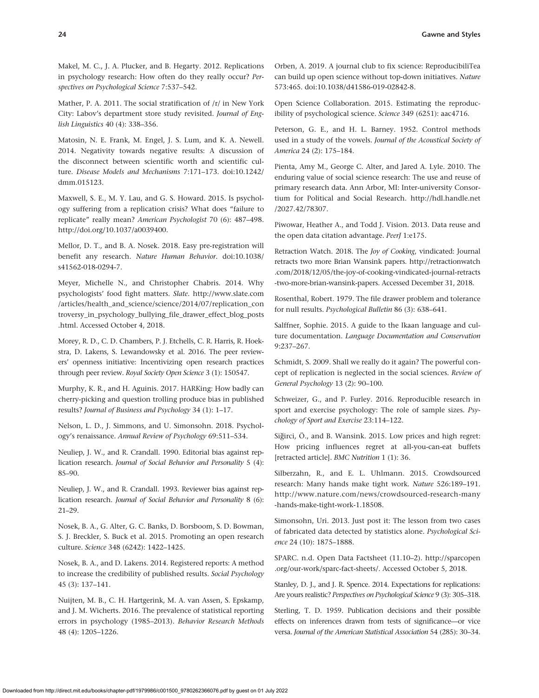Makel, M. C., J. A. Plucker, and B. Hegarty. 2012. Replications in psychology research: How often do they really occur? *Perspectives on Psychological Science* 7:537–542.

Mather, P. A. 2011. The social stratification of /r/ in New York City: Labov's department store study revisited. *Journal of English Linguistics* 40 (4): 338–356.

Matosin, N. E. Frank, M. Engel, J. S. Lum, and K. A. Newell. 2014. Negativity towards negative results: A discussion of the disconnect between scientific worth and scientific culture. *Disease Models and Mechanisms* 7:171–173. doi:10.1242/ dmm.015123.

Maxwell, S. E., M. Y. Lau, and G. S. Howard. 2015. Is psychology suffering from a replication crisis? What does "failure to replicate" really mean? *American Psychologist* 70 (6): 487–498. [http://doi.org/10.1037/a0039400.](http://doi.org/10.1037/a0039400)

Mellor, D. T., and B. A. Nosek. 2018. Easy pre-registration will benefit any research. *Nature Human Behavior.* doi:10.1038/ s41562-018-0294-7.

Meyer, Michelle N., and Christopher Chabris. 2014. Why psychologists' food fight matters. *Slate*. [http://www.slate.com](http://www.slate.com/articles/health_and_science/science/2014/07/replication_controversy_in_psychology_bullying_file_drawer_effect_blog_posts.html) [/articles/health\\_and\\_science/science/2014/07/replication\\_con](http://www.slate.com/articles/health_and_science/science/2014/07/replication_controversy_in_psychology_bullying_file_drawer_effect_blog_posts.html) [troversy\\_in\\_psychology\\_bullying\\_file\\_drawer\\_effect\\_blog\\_posts](http://www.slate.com/articles/health_and_science/science/2014/07/replication_controversy_in_psychology_bullying_file_drawer_effect_blog_posts.html) [.html](http://www.slate.com/articles/health_and_science/science/2014/07/replication_controversy_in_psychology_bullying_file_drawer_effect_blog_posts.html). Accessed October 4, 2018.

Morey, R. D., C. D. Chambers, P. J. Etchells, C. R. Harris, R. Hoekstra, D. Lakens, S. Lewandowsky et al. 2016. The peer reviewers' openness initiative: Incentivizing open research practices through peer review. *Royal Society Open Science* 3 (1): 150547.

Murphy, K. R., and H. Aguinis. 2017. HARKing: How badly can cherry-picking and question trolling produce bias in published results? *Journal of Business and Psychology* 34 (1): 1–17.

Nelson, L. D., J. Simmons, and U. Simonsohn. 2018. Psychology's renaissance. *Annual Review of Psychology* 69:511–534.

Neuliep, J. W., and R. Crandall. 1990. Editorial bias against replication research. *Journal of Social Behavior and Personality* 5 (4): 85–90.

Neuliep, J. W., and R. Crandall. 1993. Reviewer bias against replication research. *Journal of Social Behavior and Personality* 8 (6): 21–29.

Nosek, B. A., G. Alter, G. C. Banks, D. Borsboom, S. D. Bowman, S. J. Breckler, S. Buck et al. 2015. Promoting an open research culture. *Science* 348 (6242): 1422–1425.

Nosek, B. A., and D. Lakens. 2014. Registered reports: A method to increase the credibility of published results. *Social Psychology* 45 (3): 137–141.

Nuijten, M. B., C. H. Hartgerink, M. A. van Assen, S. Epskamp, and J. M. Wicherts. 2016. The prevalence of statistical reporting errors in psychology (1985–2013). *Behavior Research Methods* 48 (4): 1205–1226.

Orben, A. 2019. A journal club to fix science: ReproducibiliTea can build up open science without top-down initiatives. *Nature* 573:465. doi:10.1038/d41586-019-02842-8.

Open Science Collaboration. 2015. Estimating the reproducibility of psychological science. *Science* 349 (6251): aac4716.

Peterson, G. E., and H. L. Barney. 1952. Control methods used in a study of the vowels. *Journal of the Acoustical Society of America* 24 (2): 175–184.

Pienta, Amy M., George C. Alter, and Jared A. Lyle. 2010. The enduring value of social science research: The use and reuse of primary research data. Ann Arbor, MI: Inter-university Consortium for Political and Social Research. [http://hdl.handle.net](http://hdl.handle.net/2027.42/78307) [/2027.42/78307.](http://hdl.handle.net/2027.42/78307)

Piwowar, Heather A., and Todd J. Vision. 2013. Data reuse and the open data citation advantage. *PeerJ* 1:e175.

Retraction Watch. 2018. The *Joy of Cooking*, vindicated: Journal retracts two more Brian Wansink papers. [http://retractionwatch](http://retractionwatch.com/2018/12/05/the-joy-of-cooking-vindicated-journal-retracts-two-more-brian-wansink-papers) [.com/2018/12/05/the-joy-of-cooking-vindicated-journal-retracts](http://retractionwatch.com/2018/12/05/the-joy-of-cooking-vindicated-journal-retracts-two-more-brian-wansink-papers) [-two-more-brian-wansink-papers](http://retractionwatch.com/2018/12/05/the-joy-of-cooking-vindicated-journal-retracts-two-more-brian-wansink-papers). Accessed December 31, 2018.

Rosenthal, Robert. 1979. The file drawer problem and tolerance for null results. *Psychological Bulletin* 86 (3): 638–641.

Salffner, Sophie. 2015. A guide to the Ikaan language and culture documentation. *Language Documentation and Conservation* 9:237–267.

Schmidt, S. 2009. Shall we really do it again? The powerful concept of replication is neglected in the social sciences. *Review of General Psychology* 13 (2): 90–100.

Schweizer, G., and P. Furley. 2016. Reproducible research in sport and exercise psychology: The role of sample sizes. *Psychology of Sport and Exercise* 23:114–122.

Siğirci, Ö., and B. Wansink. 2015. Low prices and high regret: How pricing influences regret at all-you-can-eat buffets [retracted article]. *BMC Nutrition* 1 (1): 36.

Silberzahn, R., and E. L. Uhlmann. 2015. Crowdsourced research: Many hands make tight work. *Nature* 526:189–191. [http://www.nature.com/news/crowdsourced-research-many](http://www.nature.com/news/crowdsourced-research-many-hands-make-tight-work-1.18508) [-hands-make-tight-work-1.18508.](http://www.nature.com/news/crowdsourced-research-many-hands-make-tight-work-1.18508)

Simonsohn, Uri. 2013. Just post it: The lesson from two cases of fabricated data detected by statistics alone. *Psychological Science* 24 (10): 1875–1888.

SPARC. n.d. Open Data Factsheet (11.10–2). [http://sparcopen](http://sparcopen.org/our-work/sparc-fact-sheets/) [.org/our-work/sparc-fact-sheets/.](http://sparcopen.org/our-work/sparc-fact-sheets/) Accessed October 5, 2018.

Stanley, D. J., and J. R. Spence. 2014. Expectations for replications: Are yours realistic? *Perspectives on Psychological Science* 9 (3): 305–318.

Sterling, T. D. 1959. Publication decisions and their possible effects on inferences drawn from tests of significance—or vice versa. *Journal of the American Statistical Association* 54 (285): 30–34.